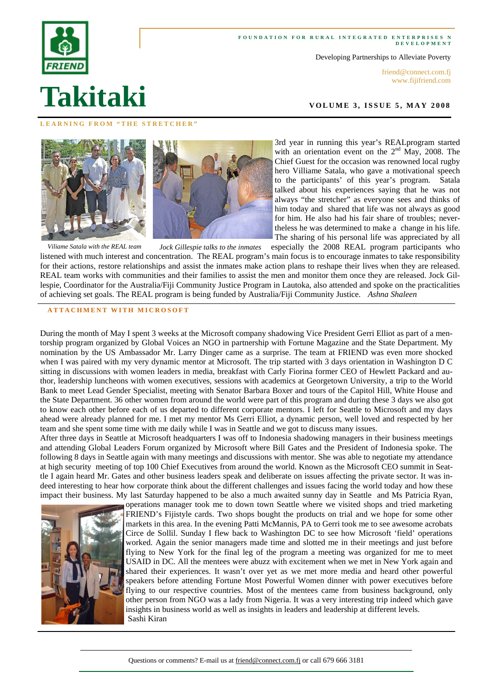#### FOUNDATION FOR RURAL INTEGRATED ENTERPRISES N **DEVELOPMENT**

Developing Partnerships to Alleviate Poverty

friend@connect.com.fj www.fijifriend.com

**VOLUME 3, ISSUE 5, MAY 2008** 

#### **LEARNING FROM "THE STRETCHER"**





3rd year in running this year's REALprogram started with an orientation event on the  $2<sup>nd</sup>$  May, 2008. The Chief Guest for the occasion was renowned local rugby hero Villiame Satala, who gave a motivational speech to the participants' of this year's program. Satala talked about his experiences saying that he was not always "the stretcher" as everyone sees and thinks of him today and shared that life was not always as good for him. He also had his fair share of troubles; nevertheless he was determined to make a change in his life. The sharing of his personal life was appreciated by all

especially the 2008 REAL program participants who listened with much interest and concentration. The REAL program's main focus is to encourage inmates to take responsibility for their actions, restore relationships and assist the inmates make action plans to reshape their lives when they are released. REAL team works with communities and their families to assist the men and monitor them once they are released. Jock Gillespie, Coordinator for the Australia/Fiji Community Justice Program in Lautoka, also attended and spoke on the practicalities of achieving set goals. The REAL program is being funded by Australia/Fiji Community Justice. *Ashna Shaleen Viliame Satala with the REAL team Jock Gillespie talks to the inmates* 

#### **ATTACHMENT WITH MICROSOFT**

During the month of May I spent 3 weeks at the Microsoft company shadowing Vice President Gerri Elliot as part of a mentorship program organized by Global Voices an NGO in partnership with Fortune Magazine and the State Department. My nomination by the US Ambassador Mr. Larry Dinger came as a surprise. The team at FRIEND was even more shocked when I was paired with my very dynamic mentor at Microsoft. The trip started with 3 days orientation in Washington D C sitting in discussions with women leaders in media, breakfast with Carly Fiorina former CEO of Hewlett Packard and author, leadership luncheons with women executives, sessions with academics at Georgetown University, a trip to the World Bank to meet Lead Gender Specialist, meeting with Senator Barbara Boxer and tours of the Capitol Hill, White House and the State Department. 36 other women from around the world were part of this program and during these 3 days we also got to know each other before each of us departed to different corporate mentors. I left for Seattle to Microsoft and my days ahead were already planned for me. I met my mentor Ms Gerri Elliot, a dynamic person, well loved and respected by her team and she spent some time with me daily while I was in Seattle and we got to discuss many issues.

After three days in Seattle at Microsoft headquarters I was off to Indonesia shadowing managers in their business meetings and attending Global Leaders Forum organized by Microsoft where Bill Gates and the President of Indonesia spoke. The following 8 days in Seattle again with many meetings and discussions with mentor. She was able to negotiate my attendance at high security meeting of top 100 Chief Executives from around the world. Known as the Microsoft CEO summit in Seattle I again heard Mr. Gates and other business leaders speak and deliberate on issues affecting the private sector. It was indeed interesting to hear how corporate think about the different challenges and issues facing the world today and how these impact their business. My last Saturday happened to be also a much awaited sunny day in Seattle and Ms Patricia Ryan,



operations manager took me to down town Seattle where we visited shops and tried marketing FRIEND's Fijistyle cards. Two shops bought the products on trial and we hope for some other markets in this area. In the evening Patti McMannis, PA to Gerri took me to see awesome acrobats Circe de Sollil. Sunday I flew back to Washington DC to see how Microsoft 'field' operations worked. Again the senior managers made time and slotted me in their meetings and just before flying to New York for the final leg of the program a meeting was organized for me to meet USAID in DC. All the mentees were abuzz with excitement when we met in New York again and shared their experiences. It wasn't over yet as we met more media and heard other powerful speakers before attending Fortune Most Powerful Women dinner with power executives before flying to our respective countries. Most of the mentees came from business background, only other person from NGO was a lady from Nigeria. It was a very interesting trip indeed which gave insights in business world as well as insights in leaders and leadership at different levels. Sashi Kiran



# **Takitaki**